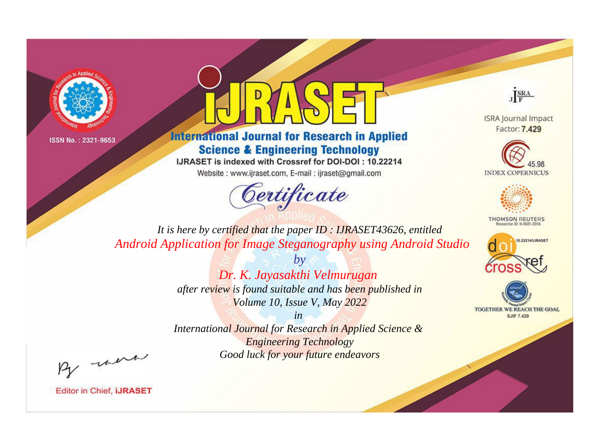



**International Journal for Research in Applied Science & Engineering Technology** 

IJRASET is indexed with Crossref for DOI-DOI: 10.22214

Website: www.ijraset.com, E-mail: ijraset@gmail.com





**ISRA Journal Impact** Factor: 7.429





**THOMSON REUTERS** 



TOGETHER WE REACH THE GOAL **SJIF 7.429** 

*It is here by certified that the paper ID : IJRASET43626, entitled Android Application for Image Steganography using Android Studio*

> *by Dr. K. Jayasakthi Velmurugan after review is found suitable and has been published in Volume 10, Issue V, May 2022*

> > *in*

*International Journal for Research in Applied Science & Engineering Technology Good luck for your future endeavors*

By morn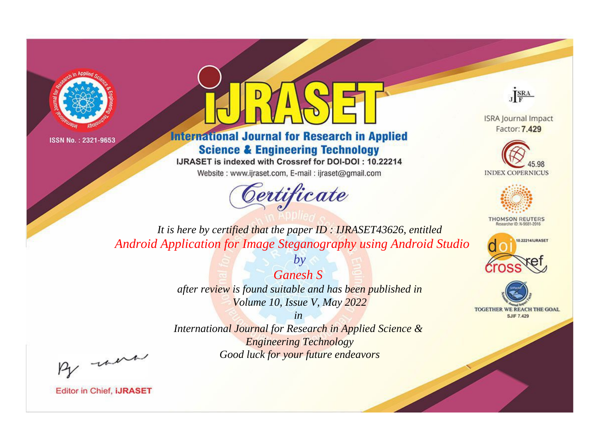



**International Journal for Research in Applied Science & Engineering Technology** 

IJRASET is indexed with Crossref for DOI-DOI: 10.22214

Website: www.ijraset.com, E-mail: ijraset@gmail.com



JERA

**ISRA Journal Impact** Factor: 7.429





**THOMSON REUTERS** 



TOGETHER WE REACH THE GOAL **SJIF 7.429** 

*It is here by certified that the paper ID : IJRASET43626, entitled Android Application for Image Steganography using Android Studio*

> *Ganesh S after review is found suitable and has been published in Volume 10, Issue V, May 2022*

*by*

*in* 

*International Journal for Research in Applied Science & Engineering Technology Good luck for your future endeavors*

By morn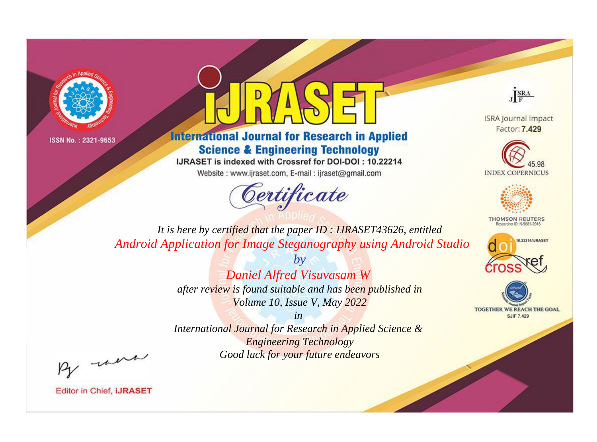



**International Journal for Research in Applied Science & Engineering Technology** 

IJRASET is indexed with Crossref for DOI-DOI: 10.22214

Website: www.ijraset.com, E-mail: ijraset@gmail.com



JERA

**ISRA Journal Impact** Factor: 7.429





**THOMSON REUTERS** 



TOGETHER WE REACH THE GOAL **SJIF 7.429** 

*It is here by certified that the paper ID : IJRASET43626, entitled Android Application for Image Steganography using Android Studio*

> *by Daniel Alfred Visuvasam W after review is found suitable and has been published in Volume 10, Issue V, May 2022*

> > *in*

*International Journal for Research in Applied Science & Engineering Technology Good luck for your future endeavors*

By morn